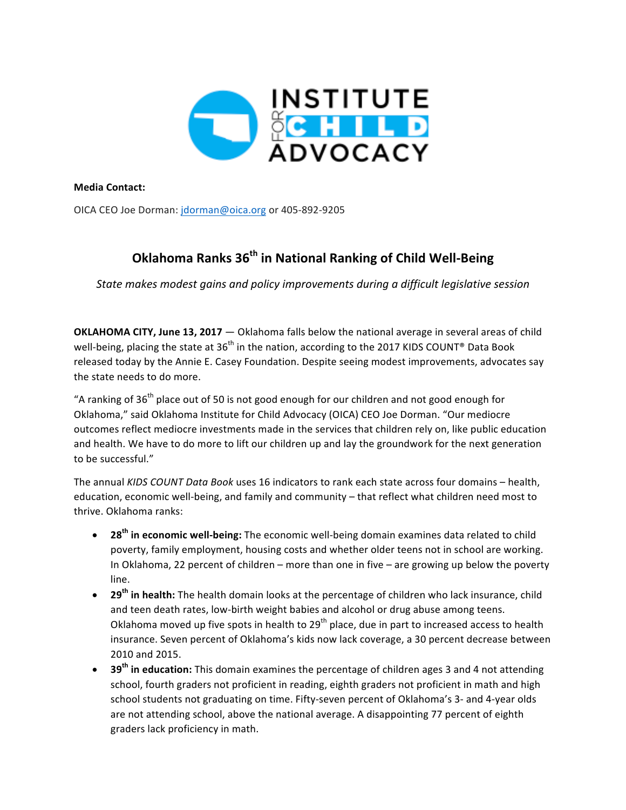

**Media Contact:**

OICA CEO Joe Dorman: jdorman@oica.org or 405-892-9205

## **Oklahoma Ranks 36th in National Ranking of Child Well-Being**

State makes modest gains and policy improvements during a difficult legislative session

**OKLAHOMA CITY, June 13, 2017** — Oklahoma falls below the national average in several areas of child well-being, placing the state at  $36<sup>th</sup>$  in the nation, according to the 2017 KIDS COUNT® Data Book released today by the Annie E. Casey Foundation. Despite seeing modest improvements, advocates say the state needs to do more.

"A ranking of  $36<sup>th</sup>$  place out of 50 is not good enough for our children and not good enough for Oklahoma," said Oklahoma Institute for Child Advocacy (OICA) CEO Joe Dorman. "Our mediocre outcomes reflect mediocre investments made in the services that children rely on, like public education and health. We have to do more to lift our children up and lay the groundwork for the next generation to be successful."

The annual *KIDS COUNT Data Book* uses 16 indicators to rank each state across four domains - health, education, economic well-being, and family and community – that reflect what children need most to thrive. Oklahoma ranks:

- 28<sup>th</sup> in economic well-being: The economic well-being domain examines data related to child poverty, family employment, housing costs and whether older teens not in school are working. In Oklahoma, 22 percent of children – more than one in five – are growing up below the poverty line.
- 29<sup>th</sup> in health: The health domain looks at the percentage of children who lack insurance, child and teen death rates, low-birth weight babies and alcohol or drug abuse among teens. Oklahoma moved up five spots in health to  $29^{th}$  place, due in part to increased access to health insurance. Seven percent of Oklahoma's kids now lack coverage, a 30 percent decrease between 2010 and 2015.
- 39<sup>th</sup> in education: This domain examines the percentage of children ages 3 and 4 not attending school, fourth graders not proficient in reading, eighth graders not proficient in math and high school students not graduating on time. Fifty-seven percent of Oklahoma's 3- and 4-year olds are not attending school, above the national average. A disappointing 77 percent of eighth graders lack proficiency in math.